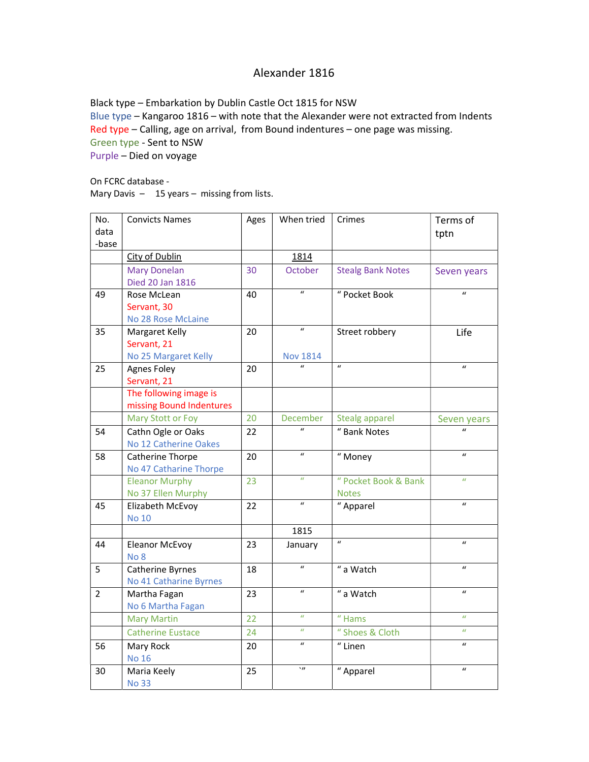## Alexander 1816

Black type – Embarkation by Dublin Castle Oct 1815 for NSW Blue type – Kangaroo 1816 – with note that the Alexander were not extracted from Indents Red type – Calling, age on arrival, from Bound indentures – one page was missing. Green type - Sent to NSW Purple – Died on voyage

On FCRC database - Mary Davis - 15 years - missing from lists.

| No.<br>data<br>-base | <b>Convicts Names</b>                                 | Ages | When tried                          | Crimes                               | Terms of<br>tptn |
|----------------------|-------------------------------------------------------|------|-------------------------------------|--------------------------------------|------------------|
|                      | <b>City of Dublin</b>                                 |      | 1814                                |                                      |                  |
|                      | <b>Mary Donelan</b><br>Died 20 Jan 1816               | 30   | October                             | <b>Stealg Bank Notes</b>             | Seven years      |
| 49                   | Rose McLean<br>Servant, 30<br>No 28 Rose McLaine      | 40   | $\boldsymbol{u}$                    | " Pocket Book                        | $\mathbf{u}$     |
| 35                   | Margaret Kelly<br>Servant, 21<br>No 25 Margaret Kelly | 20   | $\boldsymbol{u}$<br><b>Nov 1814</b> | Street robbery                       | Life             |
| 25                   | Agnes Foley<br>Servant, 21                            | 20   |                                     | $\boldsymbol{u}$                     | $\boldsymbol{u}$ |
|                      | The following image is<br>missing Bound Indentures    |      |                                     |                                      |                  |
|                      | Mary Stott or Foy                                     | 20   | December                            | Stealg apparel                       | Seven years      |
| 54                   | Cathn Ogle or Oaks<br>No 12 Catherine Oakes           | 22   | $\boldsymbol{u}$                    | " Bank Notes                         | $\mathbf{u}$     |
| 58                   | Catherine Thorpe<br>No 47 Catharine Thorpe            | 20   | $\boldsymbol{u}$                    | " Money                              | $\boldsymbol{u}$ |
|                      | <b>Eleanor Murphy</b><br>No 37 Ellen Murphy           | 23   | $\boldsymbol{u}$                    | " Pocket Book & Bank<br><b>Notes</b> | $\boldsymbol{u}$ |
| 45                   | Elizabeth McEvoy<br><b>No 10</b>                      | 22   | $\boldsymbol{u}$                    | "Apparel                             | $\boldsymbol{u}$ |
|                      |                                                       |      | 1815                                |                                      |                  |
| 44                   | <b>Eleanor McEvoy</b><br>No <sub>8</sub>              | 23   | January                             | $\boldsymbol{u}$                     | $\mathbf{u}$     |
| 5                    | Catherine Byrnes<br>No 41 Catharine Byrnes            | 18   | $\boldsymbol{u}$                    | " a Watch                            | $\boldsymbol{u}$ |
| $\overline{2}$       | Martha Fagan<br>No 6 Martha Fagan                     | 23   | $\overline{u}$                      | $\overline{\mathscr{C}}$ a Watch     | $\boldsymbol{u}$ |
|                      | <b>Mary Martin</b>                                    | 22   | $\boldsymbol{u}$                    | $\overline{\mathbf{r}}$ Hams         | $\boldsymbol{u}$ |
|                      | <b>Catherine Eustace</b>                              | 24   | $\boldsymbol{u}$                    | " Shoes & Cloth                      | $\boldsymbol{u}$ |
| 56                   | Mary Rock<br><b>No 16</b>                             | 20   | $\boldsymbol{u}$                    | $\overline{\mathbf{r}}$ Linen        | $\boldsymbol{u}$ |
| 30                   | Maria Keely<br><b>No 33</b>                           | 25   | $\cdot$ n                           | " Apparel                            | $\boldsymbol{u}$ |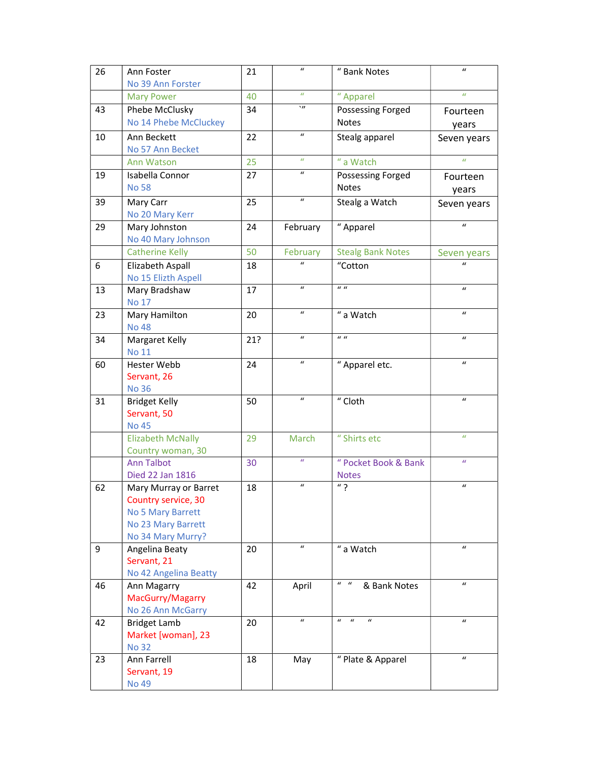| 26 | Ann Foster                  | 21  | $\boldsymbol{u}$ | " Bank Notes                                             | $\boldsymbol{u}$ |
|----|-----------------------------|-----|------------------|----------------------------------------------------------|------------------|
|    | No 39 Ann Forster           |     |                  |                                                          |                  |
|    | <b>Mary Power</b>           | 40  | $\boldsymbol{u}$ | " Apparel                                                | $\boldsymbol{u}$ |
| 43 | Phebe McClusky              | 34  | $\eta$           | Possessing Forged                                        | Fourteen         |
|    | No 14 Phebe McCluckey       |     |                  | <b>Notes</b>                                             | years            |
| 10 | Ann Beckett                 | 22  | $\boldsymbol{u}$ | Stealg apparel                                           | Seven years      |
|    | No 57 Ann Becket            |     |                  |                                                          |                  |
|    | Ann Watson                  | 25  | $\boldsymbol{u}$ | " a Watch                                                | $\boldsymbol{u}$ |
| 19 | Isabella Connor             | 27  | $\mathbf{u}$     | Possessing Forged                                        | Fourteen         |
|    | <b>No 58</b>                |     |                  | Notes                                                    | years            |
| 39 | Mary Carr                   | 25  | $\boldsymbol{u}$ | Stealg a Watch                                           | Seven years      |
|    | No 20 Mary Kerr             |     |                  |                                                          |                  |
| 29 | Mary Johnston               | 24  | February         | "Apparel                                                 | $\boldsymbol{u}$ |
|    | No 40 Mary Johnson          |     |                  |                                                          |                  |
|    | <b>Catherine Kelly</b>      | 50  | February         | <b>Stealg Bank Notes</b>                                 | Seven years      |
| 6  | Elizabeth Aspall            | 18  | $\mathbf{u}$     | "Cotton                                                  | $\mathbf{u}$     |
|    | No 15 Elizth Aspell         |     |                  |                                                          |                  |
| 13 | Mary Bradshaw               | 17  | $\boldsymbol{u}$ | $\boldsymbol{u}$                                         | $\boldsymbol{u}$ |
|    | <b>No 17</b>                |     |                  |                                                          |                  |
| 23 | Mary Hamilton               | 20  | $\mathbf{u}$     | " a Watch                                                | $\boldsymbol{u}$ |
|    | <b>No 48</b>                |     |                  | $\boldsymbol{u}$                                         |                  |
| 34 | Margaret Kelly              | 21? | $\mathbf{u}$     |                                                          | $\boldsymbol{u}$ |
|    | <b>No 11</b>                |     | $\boldsymbol{u}$ |                                                          | $\boldsymbol{u}$ |
| 60 | Hester Webb                 | 24  |                  | "Apparel etc.                                            |                  |
|    | Servant, 26                 |     |                  |                                                          |                  |
|    | <b>No 36</b>                |     | $\boldsymbol{u}$ |                                                          | $\boldsymbol{u}$ |
| 31 | <b>Bridget Kelly</b>        | 50  |                  | " Cloth                                                  |                  |
|    | Servant, 50<br><b>No 45</b> |     |                  |                                                          |                  |
|    | <b>Elizabeth McNally</b>    | 29  | March            | " Shirts etc                                             | $\boldsymbol{u}$ |
|    | Country woman, 30           |     |                  |                                                          |                  |
|    | <b>Ann Talbot</b>           | 30  | $\boldsymbol{u}$ | " Pocket Book & Bank                                     | $\boldsymbol{u}$ |
|    | Died 22 Jan 1816            |     |                  | <b>Notes</b>                                             |                  |
| 62 | Mary Murray or Barret       | 18  | $\boldsymbol{u}$ | $\overline{\mathbb{F}}$ ?                                | $\boldsymbol{u}$ |
|    | Country service, 30         |     |                  |                                                          |                  |
|    | No 5 Mary Barrett           |     |                  |                                                          |                  |
|    | No 23 Mary Barrett          |     |                  |                                                          |                  |
|    | No 34 Mary Murry?           |     |                  |                                                          |                  |
| 9  | Angelina Beaty              | 20  | $\boldsymbol{u}$ | " a Watch                                                | $\boldsymbol{u}$ |
|    | Servant, 21                 |     |                  |                                                          |                  |
|    | No 42 Angelina Beatty       |     |                  |                                                          |                  |
| 46 | Ann Magarry                 | 42  | April            | $u - u$<br>& Bank Notes                                  | $\boldsymbol{u}$ |
|    | MacGurry/Magarry            |     |                  |                                                          |                  |
|    | No 26 Ann McGarry           |     |                  |                                                          |                  |
| 42 | <b>Bridget Lamb</b>         | 20  | $\boldsymbol{u}$ | $\boldsymbol{u}$<br>$\boldsymbol{u}$<br>$\boldsymbol{u}$ | $\boldsymbol{u}$ |
|    | Market [woman], 23          |     |                  |                                                          |                  |
|    | <b>No 32</b>                |     |                  |                                                          | $\boldsymbol{u}$ |
| 23 | Ann Farrell                 | 18  | May              | " Plate & Apparel                                        |                  |
|    | Servant, 19                 |     |                  |                                                          |                  |
|    | <b>No 49</b>                |     |                  |                                                          |                  |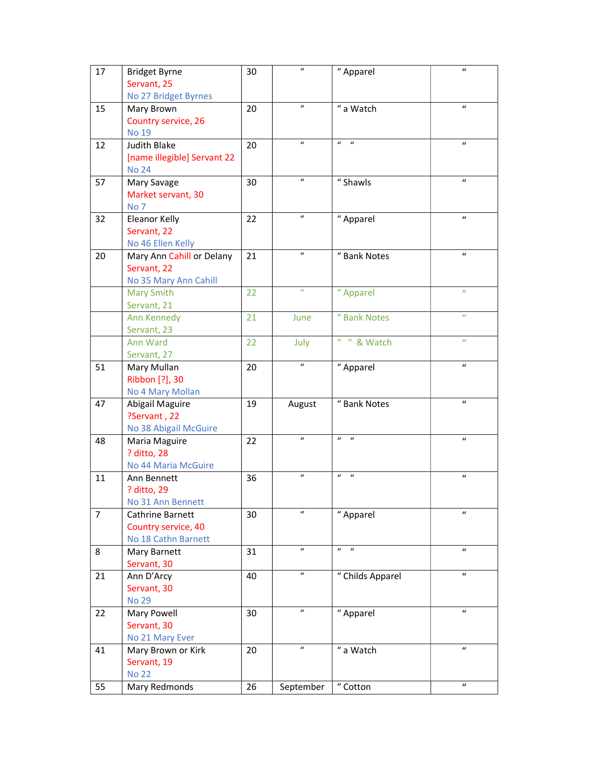| 17             | <b>Bridget Byrne</b><br>Servant, 25 | 30 | $\boldsymbol{u}$ | " Apparel                            | $\boldsymbol{u}$           |
|----------------|-------------------------------------|----|------------------|--------------------------------------|----------------------------|
|                | No 27 Bridget Byrnes                |    |                  |                                      |                            |
| 15             | Mary Brown                          | 20 | $\boldsymbol{u}$ | " a Watch                            | $\boldsymbol{u}$           |
|                | Country service, 26                 |    |                  |                                      |                            |
|                | <b>No 19</b>                        |    |                  |                                      |                            |
| 12             | Judith Blake                        | 20 | $\boldsymbol{u}$ | $\boldsymbol{u}$<br>$\boldsymbol{u}$ | $\boldsymbol{u}$           |
|                | [name illegible] Servant 22         |    |                  |                                      |                            |
|                | <b>No 24</b>                        |    |                  |                                      |                            |
| 57             | Mary Savage                         | 30 | $\boldsymbol{u}$ | " Shawls                             | $\boldsymbol{u}$           |
|                | Market servant, 30                  |    |                  |                                      |                            |
|                | No <sub>7</sub>                     |    |                  |                                      |                            |
| 32             | <b>Eleanor Kelly</b>                | 22 | $\boldsymbol{u}$ | " Apparel                            | $\boldsymbol{u}$           |
|                | Servant, 22                         |    |                  |                                      |                            |
|                | No 46 Ellen Kelly                   |    |                  |                                      |                            |
| 20             | Mary Ann Cahill or Delany           | 21 | $\boldsymbol{u}$ | " Bank Notes                         | $\mathbf{u}$               |
|                | Servant, 22                         |    |                  |                                      |                            |
|                | No 35 Mary Ann Cahill               |    |                  |                                      |                            |
|                | <b>Mary Smith</b>                   | 22 | $\boldsymbol{u}$ | " Apparel                            | $\boldsymbol{u}$           |
|                | Servant, 21                         |    |                  |                                      |                            |
|                | Ann Kennedy                         | 21 | June             | " Bank Notes                         | $\boldsymbol{u}$           |
|                | Servant, 23                         |    |                  | $u = u$                              | $\boldsymbol{u}$           |
|                | Ann Ward                            | 22 | July             | & Watch                              |                            |
|                | Servant, 27                         |    | $\boldsymbol{u}$ |                                      | $\boldsymbol{\mathcal{U}}$ |
| 51             | Mary Mullan                         | 20 |                  | " Apparel                            |                            |
|                | Ribbon [?], 30                      |    |                  |                                      |                            |
| 47             | No 4 Mary Mollan                    | 19 |                  | " Bank Notes                         | $\boldsymbol{u}$           |
|                | Abigail Maguire<br>?Servant, 22     |    | August           |                                      |                            |
|                | No 38 Abigail McGuire               |    |                  |                                      |                            |
| 48             | Maria Maguire                       | 22 | $\boldsymbol{u}$ | $\boldsymbol{u}$<br>$\mathbf{u}$     | $\boldsymbol{u}$           |
|                | ? ditto, 28                         |    |                  |                                      |                            |
|                | No 44 Maria McGuire                 |    |                  |                                      |                            |
| 11             | Ann Bennett                         | 36 | $\boldsymbol{u}$ | $\boldsymbol{u}$<br>$\boldsymbol{u}$ | $\boldsymbol{u}$           |
|                | ? ditto, 29                         |    |                  |                                      |                            |
|                | No 31 Ann Bennett                   |    |                  |                                      |                            |
| $\overline{7}$ | Cathrine Barnett                    | 30 | $\boldsymbol{u}$ | "Apparel                             | $\boldsymbol{u}$           |
|                | Country service, 40                 |    |                  |                                      |                            |
|                | No 18 Cathn Barnett                 |    |                  |                                      |                            |
| 8              | Mary Barnett                        | 31 | $\boldsymbol{u}$ | $\boldsymbol{u}$<br>$\mathbf{u}$     | $\boldsymbol{u}$           |
|                | Servant, 30                         |    |                  |                                      |                            |
| 21             | Ann D'Arcy                          | 40 | $\boldsymbol{u}$ | " Childs Apparel                     | $\boldsymbol{u}$           |
|                | Servant, 30                         |    |                  |                                      |                            |
|                | <b>No 29</b>                        |    |                  |                                      |                            |
| 22             | Mary Powell                         | 30 | $\boldsymbol{u}$ | " Apparel                            | $\boldsymbol{u}$           |
|                | Servant, 30                         |    |                  |                                      |                            |
|                | No 21 Mary Ever                     |    |                  |                                      |                            |
| 41             | Mary Brown or Kirk                  | 20 | $\boldsymbol{u}$ | $"$ a Watch                          | $\boldsymbol{u}$           |
|                | Servant, 19                         |    |                  |                                      |                            |
|                | <b>No 22</b>                        |    |                  |                                      |                            |
| 55             | Mary Redmonds                       | 26 | September        | $"$ Cotton                           | $\boldsymbol{u}$           |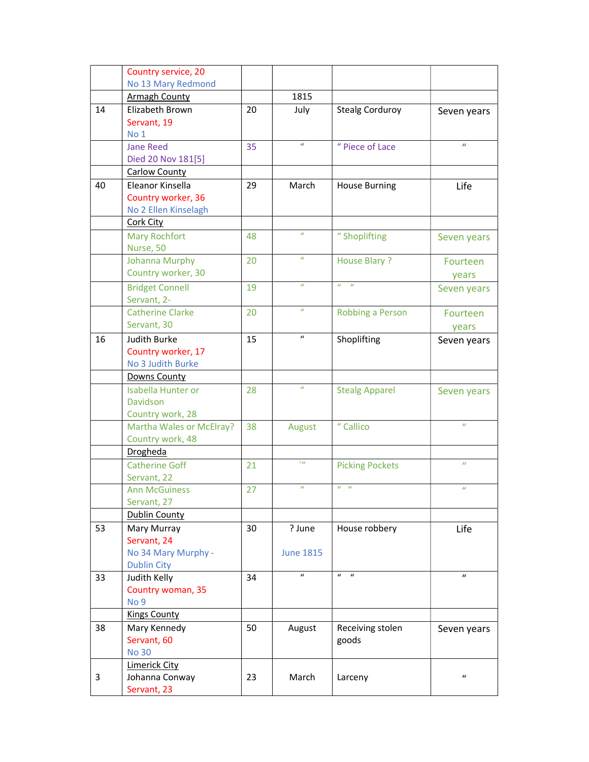|    | Country service, 20                       |    |                  |                                  |                  |
|----|-------------------------------------------|----|------------------|----------------------------------|------------------|
|    | No 13 Mary Redmond                        |    |                  |                                  |                  |
|    | <b>Armagh County</b>                      |    | 1815             |                                  |                  |
| 14 | Elizabeth Brown                           | 20 | July             | <b>Stealg Corduroy</b>           | Seven years      |
|    | Servant, 19                               |    |                  |                                  |                  |
|    | No 1                                      |    |                  |                                  |                  |
|    | <b>Jane Reed</b>                          | 35 | $\boldsymbol{u}$ | " Piece of Lace                  | $\boldsymbol{u}$ |
|    | Died 20 Nov 181[5]                        |    |                  |                                  |                  |
|    | <b>Carlow County</b>                      |    |                  |                                  |                  |
| 40 | Eleanor Kinsella                          | 29 | March            | <b>House Burning</b>             | Life             |
|    | Country worker, 36                        |    |                  |                                  |                  |
|    | No 2 Ellen Kinselagh                      |    |                  |                                  |                  |
|    | <b>Cork City</b>                          |    |                  |                                  |                  |
|    | <b>Mary Rochfort</b>                      | 48 | $\boldsymbol{u}$ | "Shoplifting                     | Seven years      |
|    | Nurse, 50                                 |    |                  |                                  |                  |
|    | <b>Johanna Murphy</b>                     | 20 | $\boldsymbol{u}$ | House Blary?                     | Fourteen         |
|    | Country worker, 30                        |    |                  |                                  | years            |
|    | <b>Bridget Connell</b>                    | 19 | $\boldsymbol{u}$ | $\boldsymbol{u}$<br>$\mathbf{u}$ | Seven years      |
|    | Servant, 2-                               |    |                  |                                  |                  |
|    | <b>Catherine Clarke</b>                   | 20 | $\boldsymbol{u}$ | Robbing a Person                 | Fourteen         |
|    | Servant, 30                               |    |                  |                                  | vears            |
| 16 | <b>Judith Burke</b>                       | 15 | $\boldsymbol{u}$ | Shoplifting                      | Seven years      |
|    | Country worker, 17                        |    |                  |                                  |                  |
|    | No 3 Judith Burke                         |    |                  |                                  |                  |
|    | Downs County                              |    |                  |                                  |                  |
|    | <b>Isabella Hunter or</b>                 | 28 | $\boldsymbol{u}$ | <b>Stealg Apparel</b>            | Seven years      |
|    | Davidson                                  |    |                  |                                  |                  |
|    | Country work, 28                          |    |                  |                                  |                  |
|    | Martha Wales or McElray?                  | 38 | August           | " Callico                        | $\boldsymbol{u}$ |
|    | Country work, 48                          |    |                  |                                  |                  |
|    | Drogheda                                  |    | $\mathbf{v}$     |                                  |                  |
|    | <b>Catherine Goff</b>                     | 21 |                  | <b>Picking Pockets</b>           | $\boldsymbol{u}$ |
|    | Servant, 22                               |    | $\boldsymbol{u}$ | $u - u$                          | $\boldsymbol{u}$ |
|    | <b>Ann McGuiness</b>                      | 27 |                  |                                  |                  |
|    | Servant, 27                               |    |                  |                                  |                  |
|    | <b>Dublin County</b>                      |    |                  |                                  |                  |
| 53 | Mary Murray                               | 30 | ? June           | House robbery                    | Life             |
|    | Servant, 24                               |    |                  |                                  |                  |
|    | No 34 Mary Murphy -<br><b>Dublin City</b> |    | <b>June 1815</b> |                                  |                  |
| 33 | Judith Kelly                              | 34 | $\boldsymbol{u}$ | $\boldsymbol{u}$<br>$\mathbf{u}$ | $\boldsymbol{u}$ |
|    | Country woman, 35                         |    |                  |                                  |                  |
|    | No <sub>9</sub>                           |    |                  |                                  |                  |
|    | <b>Kings County</b>                       |    |                  |                                  |                  |
| 38 | Mary Kennedy                              | 50 | August           | Receiving stolen                 | Seven years      |
|    | Servant, 60                               |    |                  | goods                            |                  |
|    | <b>No 30</b>                              |    |                  |                                  |                  |
|    | <b>Limerick City</b>                      |    |                  |                                  |                  |
| 3  | Johanna Conway                            | 23 | March            | Larceny                          | $\boldsymbol{u}$ |
|    | Servant, 23                               |    |                  |                                  |                  |